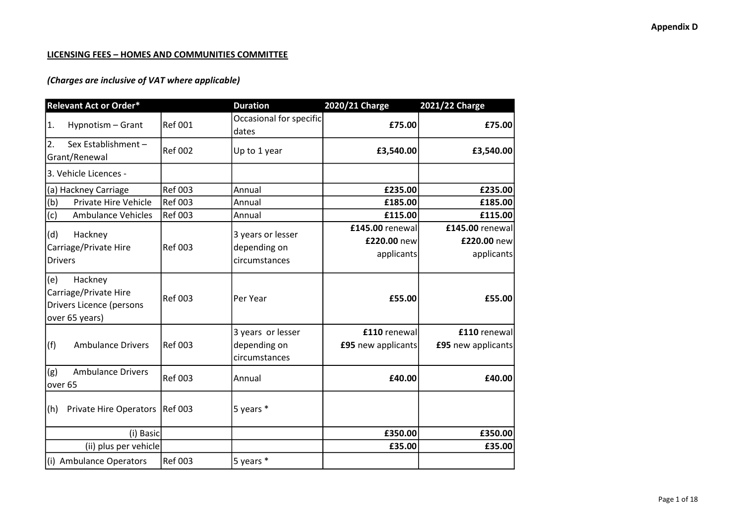### LICENSING FEES – HOMES AND COMMUNITIES COMMITTEE

| <b>Relevant Act or Order*</b>                                                         |                | <b>Duration</b>                                    | 2020/21 Charge                     | 2021/22 Charge                     |  |
|---------------------------------------------------------------------------------------|----------------|----------------------------------------------------|------------------------------------|------------------------------------|--|
| Hypnotism - Grant<br>1.                                                               | <b>Ref 001</b> | Occasional for specific                            | £75.00                             | £75.00                             |  |
|                                                                                       |                | dates                                              |                                    |                                    |  |
| 2.<br>Sex Establishment -<br>Grant/Renewal                                            | <b>Ref 002</b> | Up to 1 year                                       | £3,540.00                          | £3,540.00                          |  |
| 3. Vehicle Licences -                                                                 |                |                                                    |                                    |                                    |  |
| (a) Hackney Carriage                                                                  | <b>Ref 003</b> | Annual                                             | £235.00                            | £235.00                            |  |
| Private Hire Vehicle<br>(b)                                                           | <b>Ref 003</b> | Annual                                             | £185.00                            | £185.00                            |  |
| (c)<br><b>Ambulance Vehicles</b>                                                      | <b>Ref 003</b> | Annual                                             | £115.00                            | £115.00                            |  |
| (d)<br>Hackney                                                                        |                | 3 years or lesser                                  | £145.00 renewal                    | £145.00 renewal                    |  |
| Carriage/Private Hire                                                                 | <b>Ref 003</b> | depending on                                       | £220.00 new                        | £220.00 new                        |  |
| <b>Drivers</b>                                                                        |                | circumstances                                      | applicants                         | applicants                         |  |
| (e)<br>Hackney<br>Carriage/Private Hire<br>Drivers Licence (persons<br>over 65 years) | <b>Ref 003</b> | Per Year                                           | £55.00                             | £55.00                             |  |
| (f)<br><b>Ambulance Drivers</b>                                                       | <b>Ref 003</b> | 3 years or lesser<br>depending on<br>circumstances | £110 renewal<br>£95 new applicants | £110 renewal<br>£95 new applicants |  |
| (g)<br><b>Ambulance Drivers</b><br>over 65                                            | <b>Ref 003</b> | Annual                                             | £40.00                             | £40.00                             |  |
| <b>Private Hire Operators</b><br>(h)                                                  | <b>Ref 003</b> | 5 years *                                          |                                    |                                    |  |
| (i) Basic                                                                             |                |                                                    | £350.00                            | £350.00                            |  |
| (ii) plus per vehicle                                                                 |                |                                                    | £35.00                             | £35.00                             |  |
| (i) Ambulance Operators                                                               | <b>Ref 003</b> | 5 years *                                          |                                    |                                    |  |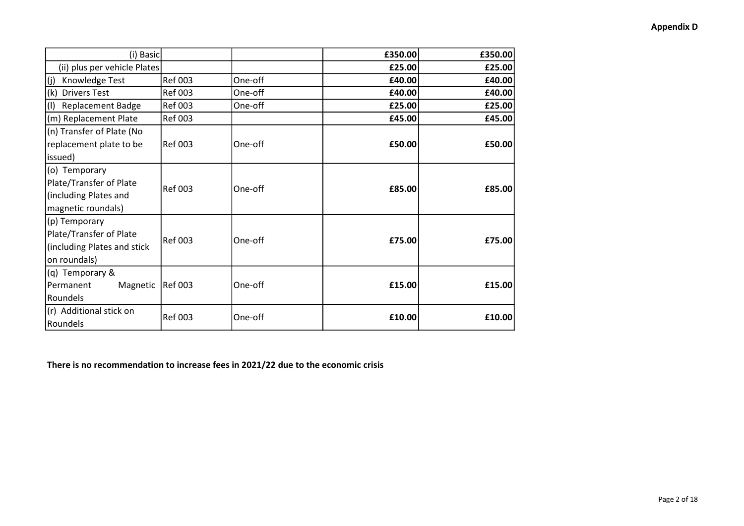| (i) Basic                                                                               |                |         | £350.00 | £350.00 |
|-----------------------------------------------------------------------------------------|----------------|---------|---------|---------|
| (ii) plus per vehicle Plates                                                            |                |         | £25.00  | £25.00  |
| Knowledge Test<br>$\vert$ (j)                                                           | <b>Ref 003</b> | One-off | £40.00  | £40.00  |
| <b>Drivers Test</b><br>(k)                                                              | <b>Ref 003</b> | One-off | £40.00  | £40.00  |
| <b>Replacement Badge</b><br>$\vert$ (I)                                                 | <b>Ref 003</b> | One-off | £25.00  | £25.00  |
| (m) Replacement Plate                                                                   | <b>Ref 003</b> |         | £45.00  | £45.00  |
| (n) Transfer of Plate (No<br>replacement plate to be<br>issued)                         | <b>Ref 003</b> | One-off | £50.00  | £50.00  |
| (o) Temporary<br>Plate/Transfer of Plate<br>(including Plates and<br>magnetic roundals) | <b>Ref 003</b> | One-off | £85.00  | £85.00  |
| (p) Temporary<br>Plate/Transfer of Plate<br>(including Plates and stick<br>on roundals) | <b>Ref 003</b> | One-off | £75.00  | £75.00  |
| (q) Temporary &<br>Permanent<br>Magnetic<br>Roundels                                    | <b>Ref 003</b> | One-off | £15.00  | £15.00  |
| (r) Additional stick on<br>Roundels                                                     | <b>Ref 003</b> | One-off | £10.00  | £10.00  |

There is no recommendation to increase fees in 2021/22 due to the economic crisis

### Appendix D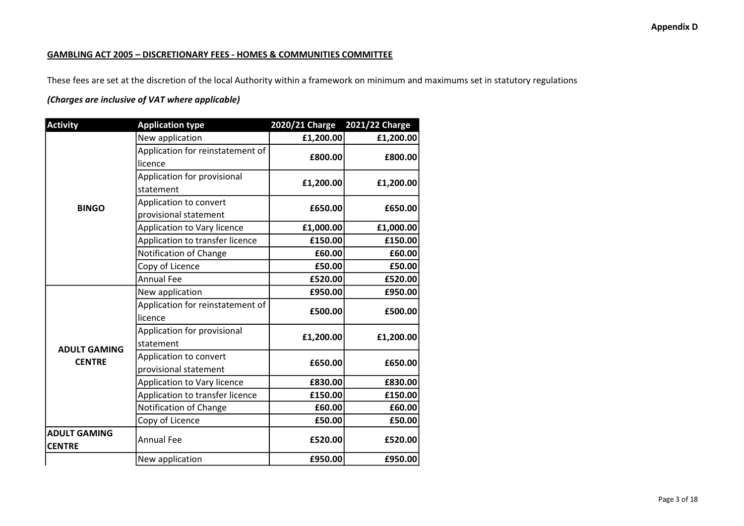#### GAMBLING ACT 2005 – DISCRETIONARY FEES - HOMES & COMMUNITIES COMMITTEE

These fees are set at the discretion of the local Authority within a framework on minimum and maximums set in statutory regulations

| <b>Activity</b>     | <b>Application type</b>          | <b>2020/21 Charge</b> | <b>2021/22 Charge</b> |
|---------------------|----------------------------------|-----------------------|-----------------------|
|                     | New application                  | £1,200.00             | £1,200.00             |
|                     | Application for reinstatement of | £800.00               | £800.00               |
|                     | licence                          |                       |                       |
|                     | Application for provisional      | £1,200.00             | £1,200.00             |
|                     | statement                        |                       |                       |
| <b>BINGO</b>        | Application to convert           | £650.00               | £650.00               |
|                     | provisional statement            |                       |                       |
|                     | Application to Vary licence      | £1,000.00             | £1,000.00             |
|                     | Application to transfer licence  | £150.00               | £150.00               |
|                     | Notification of Change           | £60.00                | £60.00                |
|                     | Copy of Licence                  | £50.00                | £50.00                |
|                     | <b>Annual Fee</b>                | £520.00               | £520.00               |
|                     | New application                  | £950.00               | £950.00               |
|                     | Application for reinstatement of | £500.00               | £500.00               |
|                     | licence                          |                       |                       |
|                     | Application for provisional      | £1,200.00             | £1,200.00             |
| <b>ADULT GAMING</b> | statement                        |                       |                       |
| <b>CENTRE</b>       | Application to convert           | £650.00               |                       |
|                     | provisional statement            |                       | £650.00               |
|                     | Application to Vary licence      | £830.00               | £830.00               |
|                     | Application to transfer licence  | £150.00               | £150.00               |
|                     | Notification of Change           | £60.00                | £60.00                |
|                     | Copy of Licence                  | £50.00                | £50.00                |
| <b>ADULT GAMING</b> | <b>Annual Fee</b>                | £520.00               | £520.00               |
| <b>CENTRE</b>       |                                  |                       |                       |
|                     | New application                  | £950.00               | £950.00               |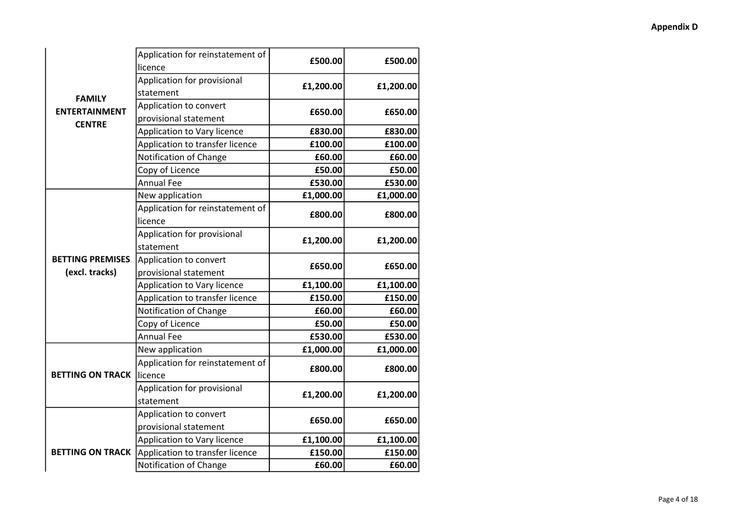|                         | Application for reinstatement of | £500.00<br>£500.00 |           |
|-------------------------|----------------------------------|--------------------|-----------|
|                         | licence                          |                    |           |
|                         | Application for provisional      | £1,200.00          | £1,200.00 |
| <b>FAMILY</b>           | statement                        |                    |           |
| <b>ENTERTAINMENT</b>    | Application to convert           | £650.00            | £650.00   |
| <b>CENTRE</b>           | provisional statement            |                    |           |
|                         | Application to Vary licence      | £830.00            | £830.00   |
|                         | Application to transfer licence  | £100.00            | £100.00   |
|                         | Notification of Change           | £60.00             | £60.00    |
|                         | Copy of Licence                  | £50.00             | £50.00    |
|                         | <b>Annual Fee</b>                | £530.00            | £530.00   |
|                         | New application                  | £1,000.00          | £1,000.00 |
|                         | Application for reinstatement of | £800.00            | £800.00   |
|                         | licence                          |                    |           |
| <b>BETTING PREMISES</b> | Application for provisional      | £1,200.00          |           |
|                         | statement                        |                    | £1,200.00 |
|                         | Application to convert           | £650.00            | £650.00   |
| (excl. tracks)          | provisional statement            |                    |           |
|                         | Application to Vary licence      | £1,100.00          | £1,100.00 |
|                         | Application to transfer licence  | £150.00            | £150.00   |
|                         | Notification of Change           | £60.00             | £60.00    |
|                         | Copy of Licence                  | £50.00             | £50.00    |
|                         | <b>Annual Fee</b>                | £530.00            | £530.00   |
|                         | New application                  | £1,000.00          | £1,000.00 |
|                         | Application for reinstatement of | £800.00            | £800.00   |
| <b>BETTING ON TRACK</b> | licence                          |                    |           |
|                         | Application for provisional      | £1,200.00          | £1,200.00 |
|                         | statement                        |                    |           |
|                         | Application to convert           | £650.00            | £650.00   |
|                         | provisional statement            |                    |           |
|                         | Application to Vary licence      | £1,100.00          | £1,100.00 |
| <b>BETTING ON TRACK</b> | Application to transfer licence  | £150.00            | £150.00   |
|                         | Notification of Change           | £60.00             | £60.00    |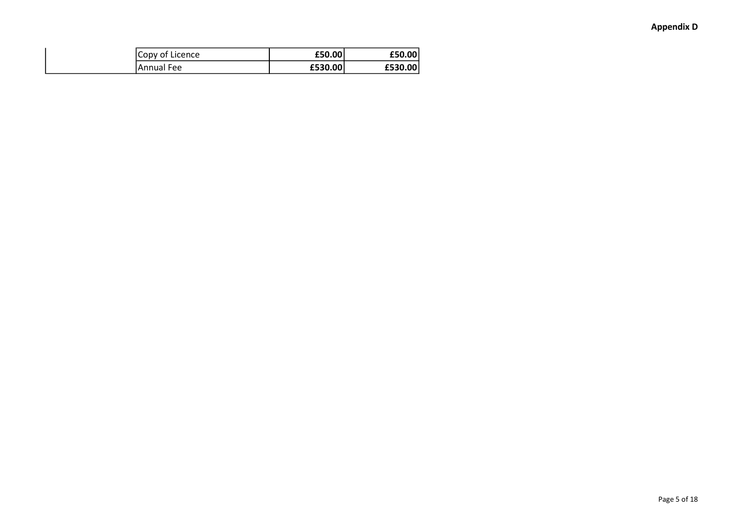| Copy of Licence | £50.00  | £50.00  |
|-----------------|---------|---------|
| Annual Fee      | £530.00 | £530.00 |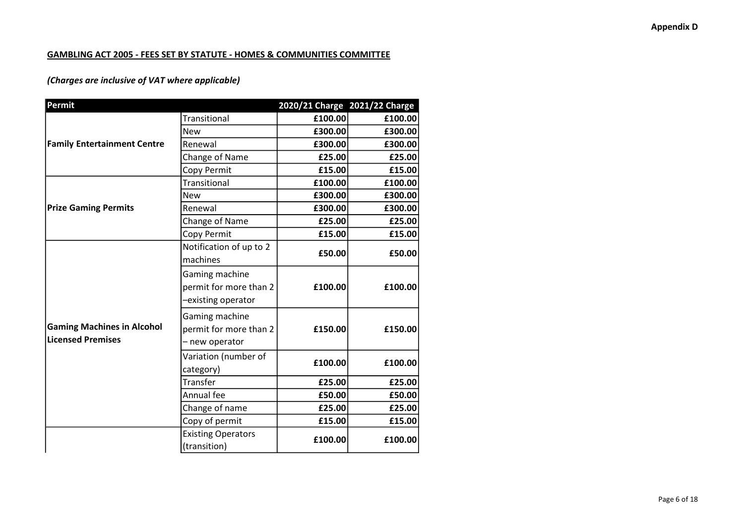### GAMBLING ACT 2005 - FEES SET BY STATUTE - HOMES & COMMUNITIES COMMITTEE

| Permit                             |                           | 2020/21 Charge 2021/22 Charge |         |
|------------------------------------|---------------------------|-------------------------------|---------|
|                                    | <b>Transitional</b>       | £100.00                       | £100.00 |
|                                    | <b>New</b>                | £300.00                       | £300.00 |
| <b>Family Entertainment Centre</b> | Renewal                   | £300.00                       | £300.00 |
|                                    | Change of Name            | £25.00                        | £25.00  |
|                                    | Copy Permit               | £15.00                        | £15.00  |
|                                    | Transitional              | £100.00                       | £100.00 |
|                                    | <b>New</b>                | £300.00                       | £300.00 |
| <b>Prize Gaming Permits</b>        | Renewal                   | £300.00                       | £300.00 |
|                                    | Change of Name            | £25.00                        | £25.00  |
|                                    | Copy Permit               | £15.00                        | £15.00  |
|                                    | Notification of up to 2   | £50.00                        | £50.00  |
|                                    | machines                  |                               |         |
|                                    | Gaming machine            |                               |         |
|                                    | permit for more than 2    | £100.00                       | £100.00 |
|                                    | -existing operator        |                               |         |
|                                    | Gaming machine            |                               |         |
| <b>Gaming Machines in Alcohol</b>  | permit for more than 2    | £150.00                       | £150.00 |
| <b>Licensed Premises</b>           | - new operator            |                               |         |
|                                    | Variation (number of      |                               |         |
|                                    | category)                 | £100.00                       | £100.00 |
|                                    | Transfer                  | £25.00                        | £25.00  |
|                                    | Annual fee                | £50.00                        | £50.00  |
|                                    | Change of name            | £25.00                        | £25.00  |
|                                    | Copy of permit            | £15.00                        | £15.00  |
|                                    | <b>Existing Operators</b> | £100.00                       | £100.00 |
|                                    | (transition)              |                               |         |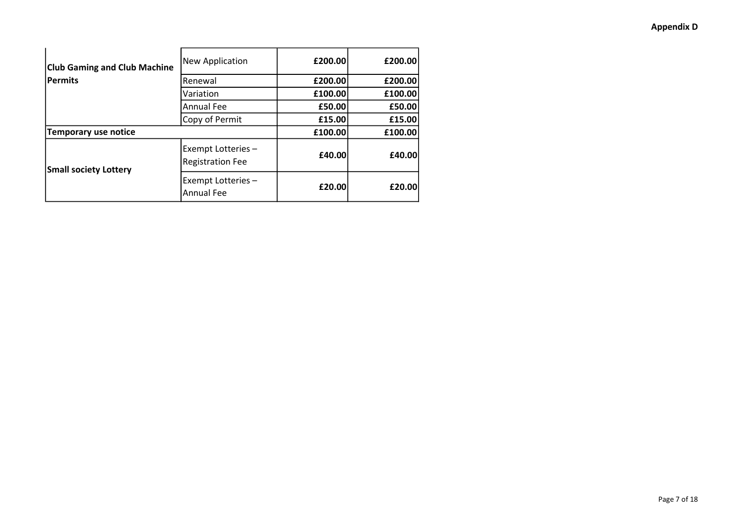### Appendix D

| <b>Club Gaming and Club Machine</b> | New Application                               | £200.00 | £200.00 |
|-------------------------------------|-----------------------------------------------|---------|---------|
| <b>Permits</b>                      | Renewal                                       | £200.00 | £200.00 |
|                                     | Variation                                     | £100.00 | £100.00 |
|                                     | <b>Annual Fee</b>                             | £50.00  | £50.00  |
|                                     | Copy of Permit                                | £15.00  | £15.00  |
| <b>Temporary use notice</b>         |                                               | £100.00 | £100.00 |
| <b>Small society Lottery</b>        | Exempt Lotteries -<br><b>Registration Fee</b> | £40.00  | £40.00  |
|                                     | Exempt Lotteries -<br><b>Annual Fee</b>       | £20.00  | £20.00  |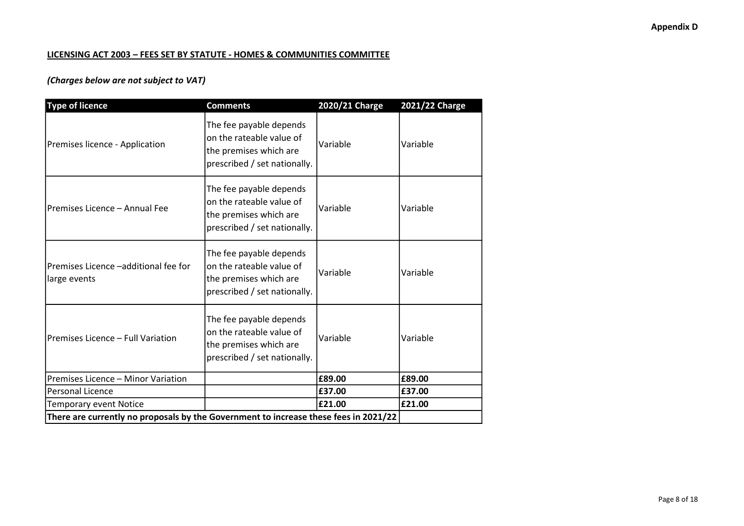### LICENSING ACT 2003 – FEES SET BY STATUTE - HOMES & COMMUNITIES COMMITTEE

## (Charges below are not subject to VAT)

| <b>Type of licence</b>                                                               | <b>Comments</b>                                                                                               | 2020/21 Charge | 2021/22 Charge |
|--------------------------------------------------------------------------------------|---------------------------------------------------------------------------------------------------------------|----------------|----------------|
| Premises licence - Application                                                       | The fee payable depends<br>on the rateable value of<br>the premises which are<br>prescribed / set nationally. | Variable       | Variable       |
| Premises Licence - Annual Fee                                                        | The fee payable depends<br>on the rateable value of<br>the premises which are<br>prescribed / set nationally. | Variable       | Variable       |
| Premises Licence -additional fee for<br>large events                                 | The fee payable depends<br>on the rateable value of<br>the premises which are<br>prescribed / set nationally. | Variable       | Variable       |
| Premises Licence - Full Variation                                                    | The fee payable depends<br>on the rateable value of<br>the premises which are<br>prescribed / set nationally. | Variable       | Variable       |
| Premises Licence - Minor Variation                                                   |                                                                                                               | £89.00         | £89.00         |
| Personal Licence                                                                     |                                                                                                               | £37.00         | £37.00         |
| Temporary event Notice                                                               |                                                                                                               | £21.00         | £21.00         |
| There are currently no proposals by the Government to increase these fees in 2021/22 |                                                                                                               |                |                |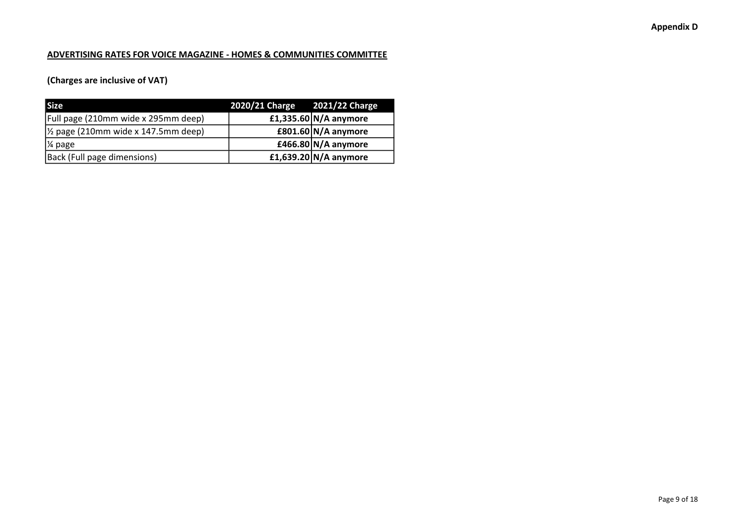### ADVERTISING RATES FOR VOICE MAGAZINE - HOMES & COMMUNITIES COMMITTEE

## (Charges are inclusive of VAT)

| <b>Size</b>                                    | 2020/21 Charge 2021/22 Charge |                       |
|------------------------------------------------|-------------------------------|-----------------------|
| [Full page (210mm wide x 295mm deep)           |                               | £1,335.60 N/A anymore |
| $\frac{1}{2}$ page (210mm wide x 147.5mm deep) |                               | £801.60 $N/A$ anymore |
| 1⁄4 page                                       |                               | £466.80 N/A anymore   |
| Back (Full page dimensions)                    |                               | £1,639.20 N/A anymore |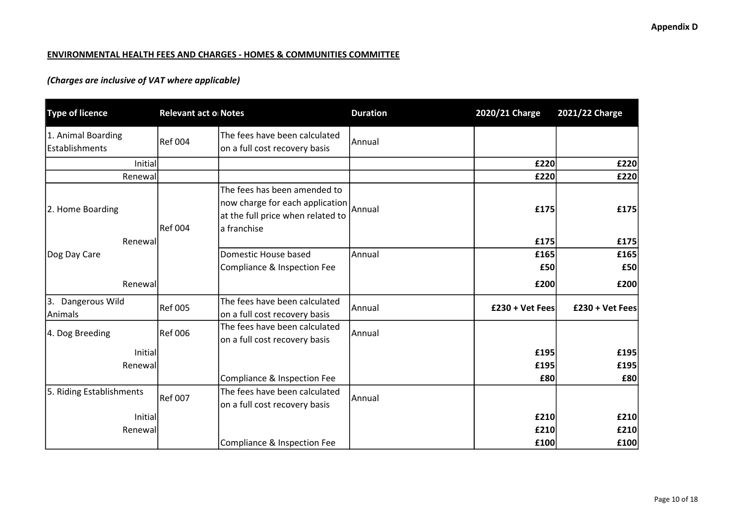### ENVIRONMENTAL HEALTH FEES AND CHARGES - HOMES & COMMUNITIES COMMITTEE

| <b>Type of licence</b>               | Relevant act o Notes |                                                                                                                     | <b>Duration</b> | 2020/21 Charge  | 2021/22 Charge  |
|--------------------------------------|----------------------|---------------------------------------------------------------------------------------------------------------------|-----------------|-----------------|-----------------|
| 1. Animal Boarding<br>Establishments | <b>Ref 004</b>       | The fees have been calculated<br>on a full cost recovery basis                                                      | Annual          |                 |                 |
| <b>Initial</b>                       |                      |                                                                                                                     |                 | £220            | £220            |
| Renewall                             |                      |                                                                                                                     |                 | £220            | £220            |
| 2. Home Boarding                     | <b>Ref 004</b>       | The fees has been amended to<br>now charge for each application<br>at the full price when related to<br>a franchise | Annual          | £175            | £175            |
| Renewall                             |                      |                                                                                                                     |                 | £175            | £175            |
| Dog Day Care                         |                      | Domestic House based<br>Compliance & Inspection Fee                                                                 | Annual          | £165<br>£50     | £165<br>£50     |
| Renewall                             |                      |                                                                                                                     |                 | £200            | £200            |
| 3. Dangerous Wild<br>Animals         | <b>Ref 005</b>       | The fees have been calculated<br>on a full cost recovery basis                                                      | lAnnual         | £230 + Vet Fees | £230 + Vet Fees |
| 4. Dog Breeding                      | <b>Ref 006</b>       | The fees have been calculated<br>on a full cost recovery basis                                                      | Annual          |                 |                 |
| Initial                              |                      |                                                                                                                     |                 | £195            | £195            |
| Renewall                             |                      |                                                                                                                     |                 | £195            | £195            |
|                                      |                      | Compliance & Inspection Fee                                                                                         |                 | £80             | £80             |
| 5. Riding Establishments             | <b>Ref 007</b>       | The fees have been calculated<br>on a full cost recovery basis                                                      | Annual          |                 |                 |
| Initial                              |                      |                                                                                                                     |                 | £210            | £210            |
| Renewal                              |                      |                                                                                                                     |                 | £210            | £210            |
|                                      |                      | Compliance & Inspection Fee                                                                                         |                 | £100            | £100            |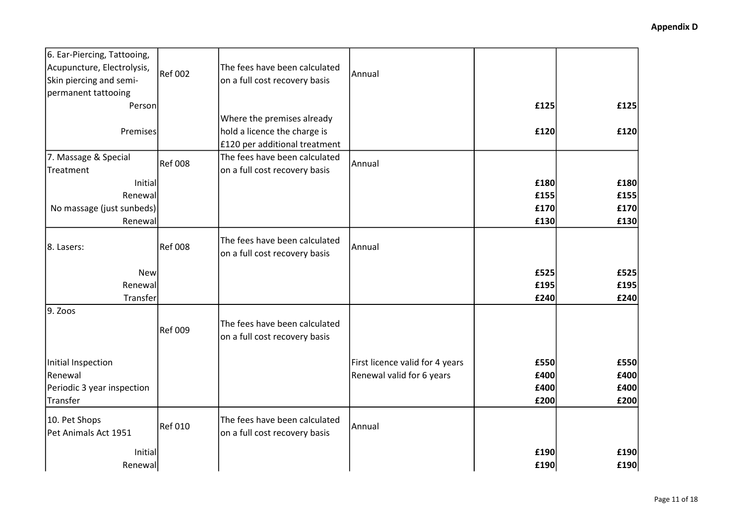| 6. Ear-Piercing, Tattooing, |                |                                                                |                                 |      |      |
|-----------------------------|----------------|----------------------------------------------------------------|---------------------------------|------|------|
| Acupuncture, Electrolysis,  | <b>Ref 002</b> | The fees have been calculated                                  | Annual                          |      |      |
| Skin piercing and semi-     |                | on a full cost recovery basis                                  |                                 |      |      |
| permanent tattooing         |                |                                                                |                                 |      |      |
| Person                      |                |                                                                |                                 | £125 | £125 |
|                             |                | Where the premises already                                     |                                 |      |      |
| Premises                    |                | hold a licence the charge is                                   |                                 | £120 | £120 |
|                             |                | £120 per additional treatment                                  |                                 |      |      |
| 7. Massage & Special        | <b>Ref 008</b> | The fees have been calculated                                  | l Annual                        |      |      |
| Treatment                   |                | on a full cost recovery basis                                  |                                 |      |      |
| <b>Initial</b>              |                |                                                                |                                 | £180 | £180 |
| Renewal                     |                |                                                                |                                 | £155 | £155 |
| No massage (just sunbeds)   |                |                                                                |                                 | £170 | £170 |
| Renewal                     |                |                                                                |                                 | £130 | £130 |
| 8. Lasers:                  | <b>Ref 008</b> | The fees have been calculated<br>on a full cost recovery basis | Annual                          |      |      |
| New                         |                |                                                                |                                 | £525 | £525 |
| Renewal                     |                |                                                                |                                 | £195 | £195 |
| Transfer                    |                |                                                                |                                 | £240 | £240 |
| 9. Zoos                     |                |                                                                |                                 |      |      |
|                             | <b>Ref 009</b> | The fees have been calculated<br>on a full cost recovery basis |                                 |      |      |
| Initial Inspection          |                |                                                                | First licence valid for 4 years | £550 | £550 |
| Renewal                     |                |                                                                | Renewal valid for 6 years       | £400 | £400 |
| Periodic 3 year inspection  |                |                                                                |                                 | £400 | £400 |
| Transfer                    |                |                                                                |                                 | £200 | £200 |
|                             |                |                                                                |                                 |      |      |
| 10. Pet Shops               | <b>Ref 010</b> | The fees have been calculated                                  | Annual                          |      |      |
| Pet Animals Act 1951        |                | on a full cost recovery basis                                  |                                 |      |      |
| Initial                     |                |                                                                |                                 | £190 | £190 |
| Renewal                     |                |                                                                |                                 | £190 | £190 |
|                             |                |                                                                |                                 |      |      |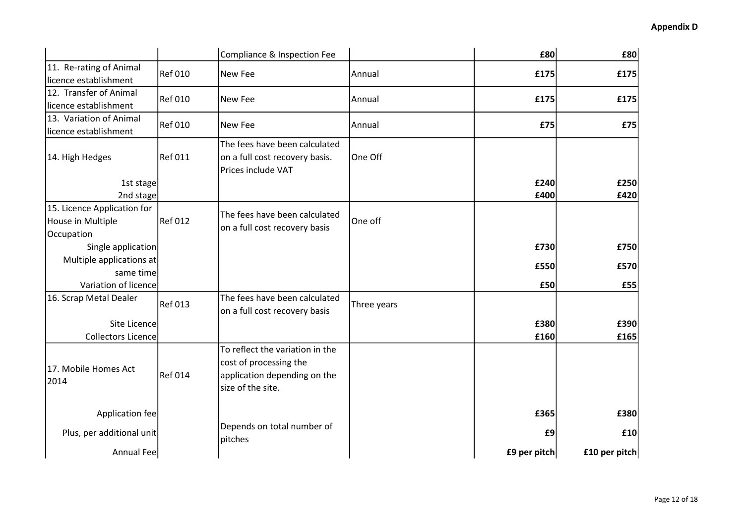|                                                                |                | Compliance & Inspection Fee                                                                                    |             | £80          | £80           |
|----------------------------------------------------------------|----------------|----------------------------------------------------------------------------------------------------------------|-------------|--------------|---------------|
| 11. Re-rating of Animal<br>licence establishment               | <b>Ref 010</b> | New Fee                                                                                                        | Annual      | £175         | £175          |
| 12. Transfer of Animal<br>licence establishment                | <b>Ref 010</b> | New Fee                                                                                                        | Annual      | £175         | £175          |
| 13. Variation of Animal<br>licence establishment               | <b>Ref 010</b> | New Fee                                                                                                        | Annual      | £75          | E75           |
| 14. High Hedges                                                | <b>Ref 011</b> | The fees have been calculated<br>on a full cost recovery basis.<br>Prices include VAT                          | One Off     |              |               |
| 1st stage                                                      |                |                                                                                                                |             | £240         | £250          |
| 2nd stage                                                      |                |                                                                                                                |             | £400         | £420          |
| 15. Licence Application for<br>House in Multiple<br>Occupation | <b>Ref 012</b> | The fees have been calculated<br>on a full cost recovery basis                                                 | One off     |              |               |
| Single application                                             |                |                                                                                                                |             | £730         | £750          |
| Multiple applications at                                       |                |                                                                                                                |             | £550         | £570          |
| same time                                                      |                |                                                                                                                |             |              |               |
| Variation of licence                                           |                |                                                                                                                |             | £50          | £55           |
| 16. Scrap Metal Dealer                                         | <b>Ref 013</b> | The fees have been calculated<br>on a full cost recovery basis                                                 | Three years |              |               |
| Site Licence                                                   |                |                                                                                                                |             | £380         | £390          |
| <b>Collectors Licence</b>                                      |                |                                                                                                                |             | £160         | £165          |
| 17. Mobile Homes Act<br>2014                                   | <b>Ref 014</b> | To reflect the variation in the<br>cost of processing the<br>application depending on the<br>size of the site. |             |              |               |
| Application fee                                                |                |                                                                                                                |             | £365         | £380          |
| Plus, per additional unit                                      |                | Depends on total number of<br>pitches                                                                          |             | £9           | £10           |
| Annual Fee                                                     |                |                                                                                                                |             | £9 per pitch | £10 per pitch |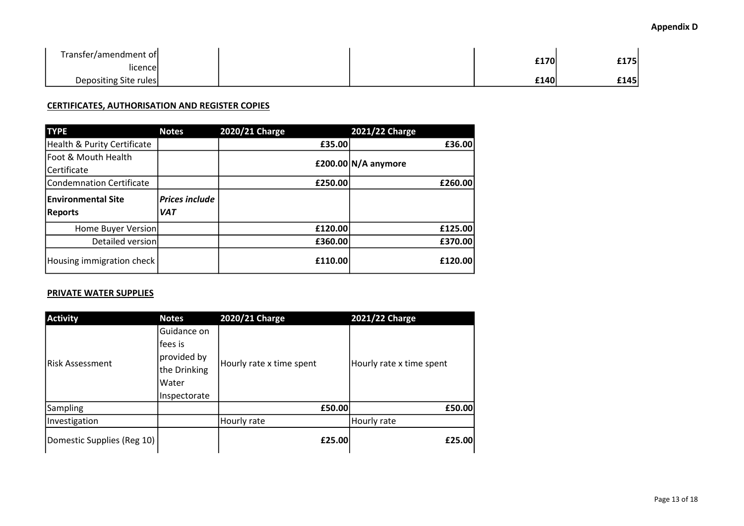### Appendix D

| Transfer/amendment of |  | £170 | £175 |
|-----------------------|--|------|------|
| iicencel              |  |      |      |
| Depositing Site rules |  | £140 | £145 |

### CERTIFICATES, AUTHORISATION AND REGISTER COPIES

| <b>TYPE</b>                 | <b>Notes</b>          | 2020/21 Charge | 2021/22 Charge        |
|-----------------------------|-----------------------|----------------|-----------------------|
| Health & Purity Certificate |                       | £35.00         | £36.00                |
| Foot & Mouth Health         |                       |                | £200.00 $N/A$ anymore |
| Certificate                 |                       |                |                       |
| Condemnation Certificate    |                       | £250.00        | £260.00               |
| <b>Environmental Site</b>   | <b>Prices include</b> |                |                       |
| <b>Reports</b>              | <b>VAT</b>            |                |                       |
| Home Buyer Version          |                       | £120.00        | £125.00               |
| Detailed version            |                       | £360.00        | £370.00               |
| Housing immigration check   |                       | £110.00        | £120.00               |

### PRIVATE WATER SUPPLIES

| <b>Activity</b>            | <b>Notes</b>                                                                   | 2020/21 Charge           | 2021/22 Charge           |
|----------------------------|--------------------------------------------------------------------------------|--------------------------|--------------------------|
| lRisk Assessment           | Guidance on<br>fees is<br>provided by<br>the Drinking<br>Water<br>Inspectorate | Hourly rate x time spent | Hourly rate x time spent |
| Sampling                   |                                                                                | £50.00                   | £50.00                   |
| Investigation              |                                                                                | Hourly rate              | Hourly rate              |
| Domestic Supplies (Reg 10) |                                                                                | £25.00                   | £25.00                   |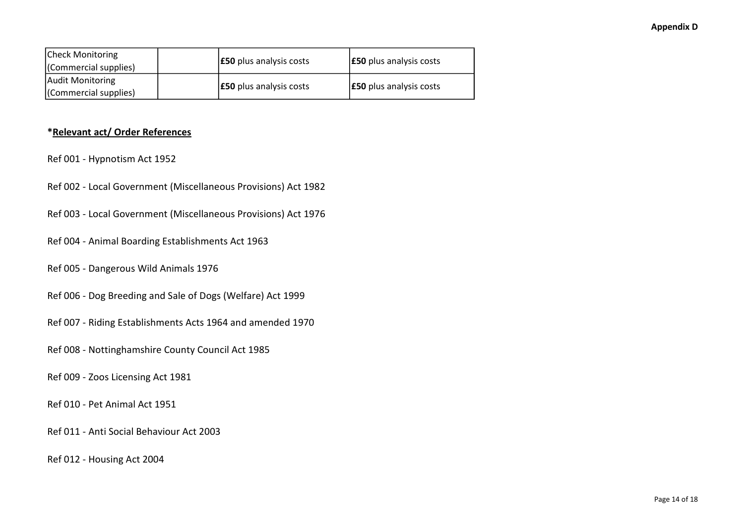| Check Monitoring      | <b>E50</b> plus analysis costs | <b>E50</b> plus analysis costs |  |
|-----------------------|--------------------------------|--------------------------------|--|
| (Commercial supplies) |                                |                                |  |
| Audit Monitoring      |                                |                                |  |
| (Commercial supplies) | <b>E50</b> plus analysis costs | <b>E50</b> plus analysis costs |  |

### \*Relevant act/ Order References

- Ref 001 Hypnotism Act 1952
- Ref 002 Local Government (Miscellaneous Provisions) Act 1982
- Ref 003 Local Government (Miscellaneous Provisions) Act 1976
- Ref 004 Animal Boarding Establishments Act 1963
- Ref 005 Dangerous Wild Animals 1976
- Ref 006 Dog Breeding and Sale of Dogs (Welfare) Act 1999
- Ref 007 Riding Establishments Acts 1964 and amended 1970
- Ref 008 Nottinghamshire County Council Act 1985
- Ref 009 Zoos Licensing Act 1981
- Ref 010 Pet Animal Act 1951
- Ref 011 Anti Social Behaviour Act 2003
- Ref 012 Housing Act 2004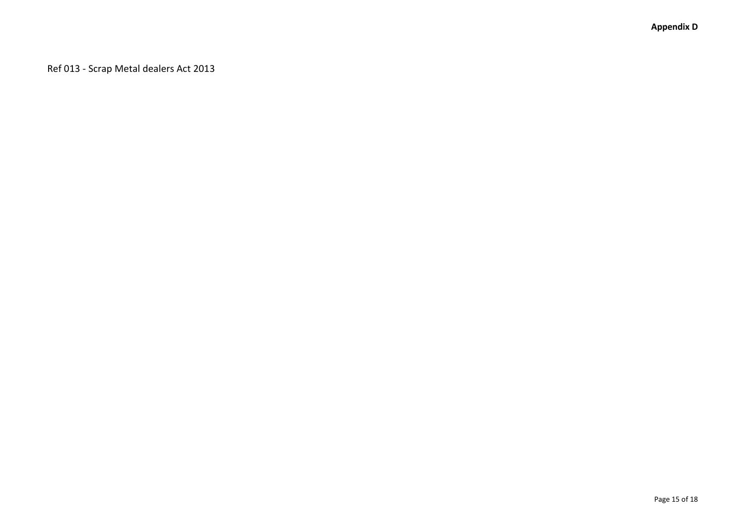Ref 013 - Scrap Metal dealers Act 2013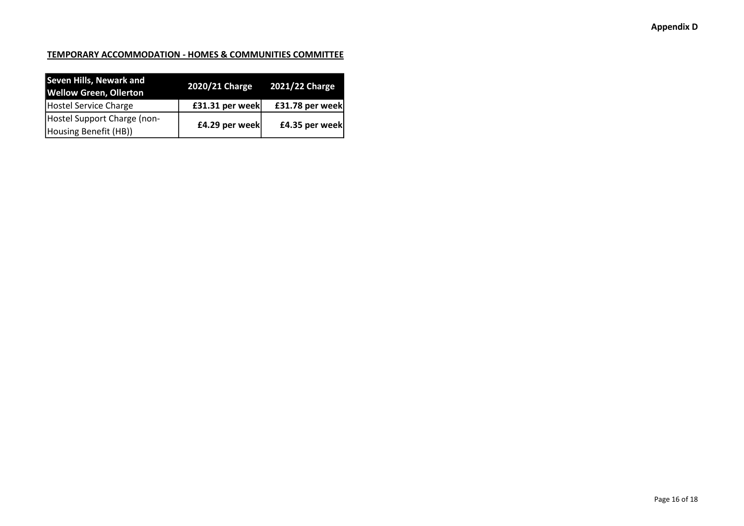### TEMPORARY ACCOMMODATION - HOMES & COMMUNITIES COMMITTEE

| <b>Seven Hills, Newark and</b><br><b>Wellow Green, Ollerton</b> | 2020/21 Charge 2021/22 Charge |                 |
|-----------------------------------------------------------------|-------------------------------|-----------------|
| Hostel Service Charge                                           | £31.31 per week               | £31.78 per week |
| Hostel Support Charge (non-                                     | £4.29 per week                |                 |
| Housing Benefit (HB))                                           |                               | £4.35 per week  |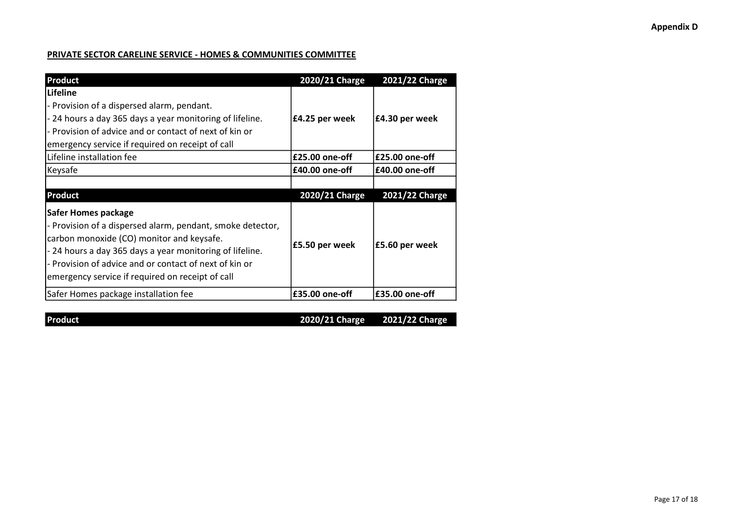### Appendix D

### PRIVATE SECTOR CARELINE SERVICE - HOMES & COMMUNITIES COMMITTEE

| <b>Product</b>                                                                                                                                                                                                                                                                                                  | 2020/21 Charge   | 2021/22 Charge   |
|-----------------------------------------------------------------------------------------------------------------------------------------------------------------------------------------------------------------------------------------------------------------------------------------------------------------|------------------|------------------|
| Lifeline                                                                                                                                                                                                                                                                                                        |                  |                  |
| - Provision of a dispersed alarm, pendant.                                                                                                                                                                                                                                                                      |                  |                  |
| - 24 hours a day 365 days a year monitoring of lifeline.                                                                                                                                                                                                                                                        | £4.25 per week   | £4.30 per week   |
| - Provision of advice and or contact of next of kin or                                                                                                                                                                                                                                                          |                  |                  |
| emergency service if required on receipt of call                                                                                                                                                                                                                                                                |                  |                  |
| Lifeline installation fee                                                                                                                                                                                                                                                                                       | £25.00 one-off   | £25.00 one-off   |
| Keysafe                                                                                                                                                                                                                                                                                                         | $£40.00$ one-off | $£40.00$ one-off |
|                                                                                                                                                                                                                                                                                                                 |                  |                  |
| <b>Product</b>                                                                                                                                                                                                                                                                                                  | 2020/21 Charge   | 2021/22 Charge   |
| <b>Safer Homes package</b><br>- Provision of a dispersed alarm, pendant, smoke detector,<br>carbon monoxide (CO) monitor and keysafe.<br>- 24 hours a day 365 days a year monitoring of lifeline.<br>- Provision of advice and or contact of next of kin or<br>emergency service if required on receipt of call | £5.50 per week   | £5.60 per week   |
|                                                                                                                                                                                                                                                                                                                 |                  |                  |

Product 2020/21 Charge 2021/22 Charge